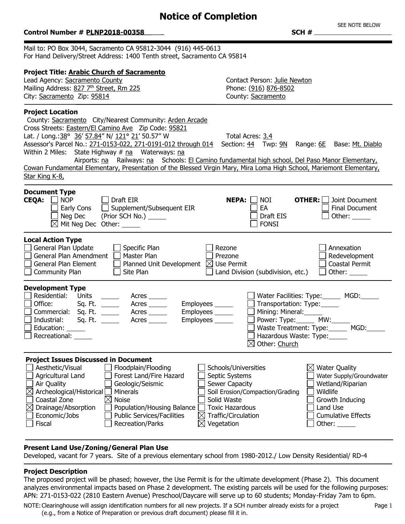## **Notice of Completion**

#### **Control Number # PLNP2018-00358 4 and \$20 and \$20 and \$20 and \$20 and \$20 and \$20 and \$20 and \$20 and \$30 and \$30 and \$30 and \$30 and \$30 and \$30 and \$30 and \$30 and \$30 and \$30 and \$30 and \$30 and \$30 and \$30 and \$30 and** Mail to: PO Box 3044, Sacramento CA 95812-3044 (916) 445-0613 For Hand Delivery/Street Address: 1400 Tenth street, Sacramento CA 95814 **Project Title: Arabic Church of Sacramento** Lead Agency: Sacramento County Contact Person: Julie Newton Mailing Address: 827 7<sup>th</sup> Street, Rm 225 Phone: (916) 876-8502 City: Sacramento Zip: 95814 County: Sacramento **Project Location** County: Sacramento City/Nearest Community: Arden Arcade Cross Streets: Eastern/El Camino Ave Zip Code: 95821 Lat. / Long.:  $38^{\circ}$  36' 57.84" N/  $121^{\circ}$  21' 50.57" W Total Acres: 3.4 Assessor's Parcel No.: 271-0153-022, 271-0191-012 through 014 Section: 44 Twp: 9N Range: 6E Base: Mt. Diablo Within 2 Miles: State Highway  $#$  na Waterways: na Airports: na Railways: na Schools: El Camino fundamental high school, Del Paso Manor Elementary, Cowan Fundamental Elementary, Presentation of the Blessed Virgin Mary, Mira Loma High School, Mariemont Elementary, Star King K-8, 1 **Document Type CEQA:**  $\Box$  NOP  $\Box$  Draft EIR **NEPA:**  $\Box$  NOI **OTHER:** Joint Document  $\Box$  Early Cons  $\Box$  Supplement/Subsequent EIR  $\Box$  EA Final Document  $\Box$  Neg Dec (Prior SCH No.)  $\Box$ Other:  $\boxtimes$  Mit Neg Dec Other:  $\Box$  FONSI **Local Action Type**  $\Box$  General Plan Update  $\Box$  Specific Plan  $\Box$  Rezone **Annexation** General Plan Amendment  $\Box$  Master Plan  $\Box$  Prezone Redevelopment General Plan Element Planned Unit Development  $\boxtimes$  Use Permit Coastal Permit  $\Box$  Community Plan  $\Box$  Site Plan  $\Box$  Land Division (subdivision, etc.) Other: **Development Type** □ Residential: Units \_\_\_\_\_\_ Acres \_\_\_\_\_<br>□ Office: Sq. Ft. \_\_\_\_\_ Acres \_\_\_\_\_ Water Facilities: Type: MGD: Office: Sq. Ft. \_\_\_\_\_\_ Acres \_\_\_\_\_ Employees \_\_\_\_\_  $\Box$ Transportation: Type: Commercial: Sq. Ft. \_\_\_\_\_\_ Acres \_\_\_\_\_ Employees \_\_\_\_\_ Mining: Mineral:  $\Box$  Power: Type:  $\Box$  MW: Industrial: Sq. Ft. \_\_\_\_\_\_ Acres \_\_\_\_\_\_ Employees \_\_\_\_\_ Waste Treatment: Type: MGD:  $\Box$  Education: Hazardous Waste: Type: Recreational:  $\boxtimes$  Other: Church **Project Issues Discussed in Document**  $\Box$  Aesthetic/Visual  $\Box$  Floodplain/Flooding  $\Box$  Schools/Universities  $\boxtimes$  Water Quality  $\Box$  Agricultural Land  $\Box$  Forest Land/Fire Hazard  $\Box$  Septic Systems Water Supply/Groundwater Air Quality Geologic/Seismic Gewer Capacity Wetland/Riparian  $\boxtimes$  Archeological/Historical  $\Box$  Minerals  $\Box$  Soil Erosion/Compaction/Grading  $\Box$  Wildlife  $\Box$  Coastal Zone  $\Box$   $\boxtimes$  Noise  $\Box$  Solid Waste  $\Box$  Growth Inducing  $\boxtimes$  Drainage/Absorption  $\Box$  Population/Housing Balance  $\Box$  Toxic Hazardous  $\Box$  Land Use Economic/Jobs  $\Box$  Public Services/Facilities  $\boxtimes$  Traffic/Circulation  $\Box$  Cumulative Effects

### **Present Land Use/Zoning/General Plan Use**

 $\Box$  Fiscal  $\Box$  Recreation/Parks  $\boxtimes$  Vegetation

Developed, vacant for 7 years. Site of a previous elementary school from 1980-2012./ Low Density Residential/ RD-4

### **Project Description**

The proposed project will be phased; however, the Use Permit is for the ultimate development (Phase 2). This document analyzes environmental impacts based on Phase 2 development. The existing parcels will be used for the following purposes: APN: 271-0153-022 (2810 Eastern Avenue) Preschool/Daycare will serve up to 60 students; Monday-Friday 7am to 6pm.

NOTE:Clearinghouse will assign identification numbers for all new projects. If a SCH number already exists for a project (e.g., from a Notice of Preparation or previous draft document) please fill it in.

Other:

SEE NOTE BELOW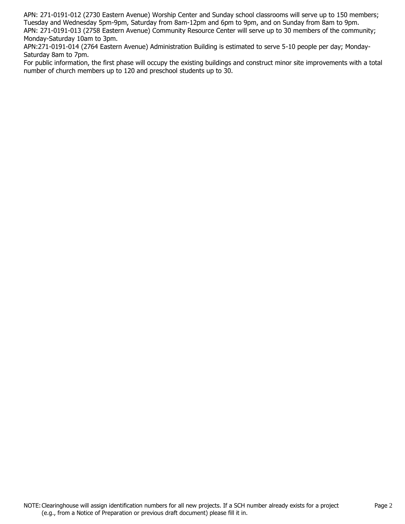APN: 271-0191-012 (2730 Eastern Avenue) Worship Center and Sunday school classrooms will serve up to 150 members; Tuesday and Wednesday 5pm-9pm, Saturday from 8am-12pm and 6pm to 9pm, and on Sunday from 8am to 9pm. APN: 271-0191-013 (2758 Eastern Avenue) Community Resource Center will serve up to 30 members of the community; Monday-Saturday 10am to 3pm.

APN:271-0191-014 (2764 Eastern Avenue) Administration Building is estimated to serve 5-10 people per day; Monday-Saturday 8am to 7pm.

For public information, the first phase will occupy the existing buildings and construct minor site improvements with a total number of church members up to 120 and preschool students up to 30.